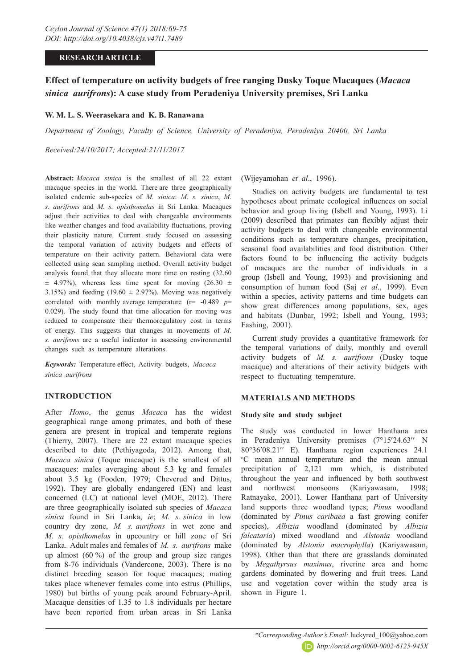### **RESEARCH ARTICLE**

# **Effect of temperature on activity budgets of free ranging Dusky Toque Macaques (***Macaca sinica aurifrons***): A case study from Peradeniya University premises, Sri Lanka**

### **W. M. L. S. Weerasekara and K. B. Ranawana**

*Department of Zoology, Faculty of Science, University of Peradeniya, Peradeniya 20400, Sri Lanka*

*Received:24/10/2017; Accepted:21/11/2017*

**Abstract:** *Macaca sinica* is the smallest of all 22 extant macaque species in the world. There are three geographically isolated endemic sub-species of *M. sinica*: *M. s. sinica*, *M. s. aurifrons* and *M. s. opisthomelas* in Sri Lanka. Macaques adjust their activities to deal with changeable environments like weather changes and food availability fluctuations, proving their plasticity nature. Current study focused on assessing the temporal variation of activity budgets and effects of temperature on their activity pattern. Behavioral data were collected using scan sampling method. Overall activity budget analysis found that they allocate more time on resting (32.60  $\pm$  4.97%), whereas less time spent for moving (26.30  $\pm$ 3.15%) and feeding  $(19.60 \pm 2.97%)$ . Moving was negatively correlated with monthly average temperature  $(r= -0.489 p=$ 0.029). The study found that time allocation for moving was reduced to compensate their thermoregulatory cost in terms of energy. This suggests that changes in movements of *M. s. aurifrons* are a useful indicator in assessing environmental changes such as temperature alterations.

*Keywords:* Temperature effect, Activity budgets, *Macaca sinica aurifrons*

### **INTRODUCTION**

After *Homo*, the genus *Macaca* has the widest geographical range among primates, and both of these genera are present in tropical and temperate regions (Thierry, 2007). There are 22 extant macaque species described to date (Pethiyagoda, 2012). Among that, *Macaca sinica* (Toque macaque) is the smallest of all macaques: males averaging about 5.3 kg and females about 3.5 kg (Fooden, 1979; Cheverud and Dittus, 1992). They are globally endangered (EN) and least concerned (LC) at national level (MOE, 2012). There are three geographically isolated sub species of *Macaca sinica* found in Sri Lanka, *ie*; *M. s. sinica* in low country dry zone, *M. s. aurifrons* in wet zone and *M. s. opisthomelas* in upcountry or hill zone of Sri Lanka. Adult males and females of *M. s. aurifrons* make up almost  $(60\%)$  of the group and group size ranges from 8-76 individuals (Vandercone, 2003). There is no distinct breeding season for toque macaques; mating takes place whenever females come into estrus (Phillips, 1980) but births of young peak around February-April. Macaque densities of 1.35 to 1.8 individuals per hectare have been reported from urban areas in Sri Lanka (Wijeyamohan *et al*., 1996).

Studies on activity budgets are fundamental to test hypotheses about primate ecological influences on social behavior and group living (Isbell and Young, 1993). Li (2009) described that primates can flexibly adjust their activity budgets to deal with changeable environmental conditions such as temperature changes, precipitation, seasonal food availabilities and food distribution. Other factors found to be influencing the activity budgets of macaques are the number of individuals in a group (Isbell and Young, 1993) and provisioning and consumption of human food (Saj *et al*., 1999). Even within a species, activity patterns and time budgets can show great differences among populations, sex, ages and habitats (Dunbar, 1992; Isbell and Young, 1993; Fashing, 2001).

Current study provides a quantitative framework for the temporal variations of daily, monthly and overall activity budgets of *M. s. aurifrons* (Dusky toque macaque) and alterations of their activity budgets with respect to fluctuating temperature.

### **MATERIALS AND METHODS**

### **Study site and study subject**

The study was conducted in lower Hanthana area in Peradeniya University premises (7°15'24.63" N 80°36′08.21″ E). Hanthana region experiences 24.1 C mean annual temperature and the mean annual precipitation of 2,121 mm which, is distributed throughout the year and influenced by both southwest and northwest monsoons (Kariyawasam, 1998; Ratnayake, 2001). Lower Hanthana part of University land supports three woodland types; *Pinus* woodland (dominated by *Pinus caribaea* a fast growing conifer species), *Albizia* woodland (dominated by *Albizia falcataria*) mixed woodland and *Alstonia* woodland (dominated by *Alstonia macrophylla*) (Kariyawasam, 1998). Other than that there are grasslands dominated by *Megathyrsus maximus*, riverine area and home gardens dominated by flowering and fruit trees. Land use and vegetation cover within the study area is shown in Figure 1.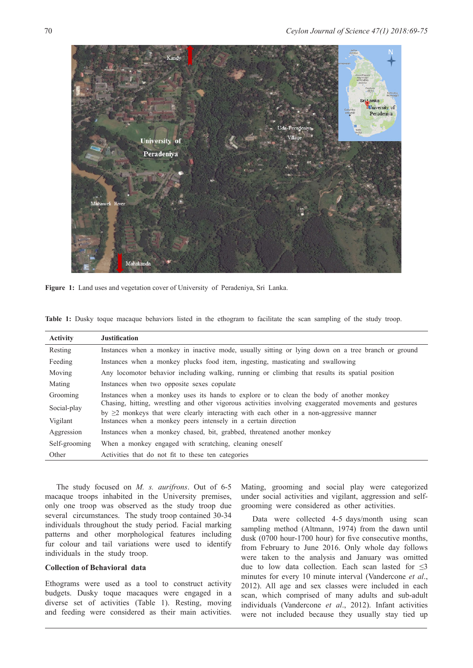

**Figure 1:** Land uses and vegetation cover of University of Peradeniya, Sri Lanka.

|  |  | Table 1: Dusky toque macaque behaviors listed in the ethogram to facilitate the scan sampling of the study troop. |  |  |  |  |  |  |  |
|--|--|-------------------------------------------------------------------------------------------------------------------|--|--|--|--|--|--|--|
|  |  |                                                                                                                   |  |  |  |  |  |  |  |

| <b>Activity</b> | <b>Justification</b>                                                                                                                                           |
|-----------------|----------------------------------------------------------------------------------------------------------------------------------------------------------------|
| Resting         | Instances when a monkey in inactive mode, usually sitting or lying down on a tree branch or ground                                                             |
| Feeding         | Instances when a monkey plucks food item, ingesting, masticating and swallowing                                                                                |
| Moving          | Any locomotor behavior including walking, running or climbing that results its spatial position                                                                |
| Mating          | Instances when two opposite sexes copulate                                                                                                                     |
| Grooming        | Instances when a monkey uses its hands to explore or to clean the body of another monkey                                                                       |
| Social-play     | Chasing, hitting, wrestling and other vigorous activities involving exaggerated movements and gestures                                                         |
| Vigilant        | by $\geq$ 2 monkeys that were clearly interacting with each other in a non-aggressive manner<br>Instances when a monkey peers intensely in a certain direction |
| Aggression      | Instances when a monkey chased, bit, grabbed, threatened another monkey                                                                                        |
| Self-grooming   | When a monkey engaged with scratching, cleaning oneself                                                                                                        |
| Other           | Activities that do not fit to these ten categories                                                                                                             |

The study focused on *M. s. aurifrons*. Out of 6-5 macaque troops inhabited in the University premises, only one troop was observed as the study troop due several circumstances. The study troop contained 30-34 individuals throughout the study period. Facial marking patterns and other morphological features including fur colour and tail variations were used to identify individuals in the study troop.

### **Collection of Behavioral data**

Ethograms were used as a tool to construct activity budgets. Dusky toque macaques were engaged in a diverse set of activities (Table 1). Resting, moving and feeding were considered as their main activities.

Mating, grooming and social play were categorized under social activities and vigilant, aggression and selfgrooming were considered as other activities.

Data were collected 4-5 days/month using scan sampling method (Altmann, 1974) from the dawn until dusk (0700 hour-1700 hour) for five consecutive months, from February to June 2016. Only whole day follows were taken to the analysis and January was omitted due to low data collection. Each scan lasted for  $\leq$ 3 minutes for every 10 minute interval (Vandercone *et al*., 2012). All age and sex classes were included in each scan, which comprised of many adults and sub-adult individuals (Vandercone *et al*., 2012). Infant activities were not included because they usually stay tied up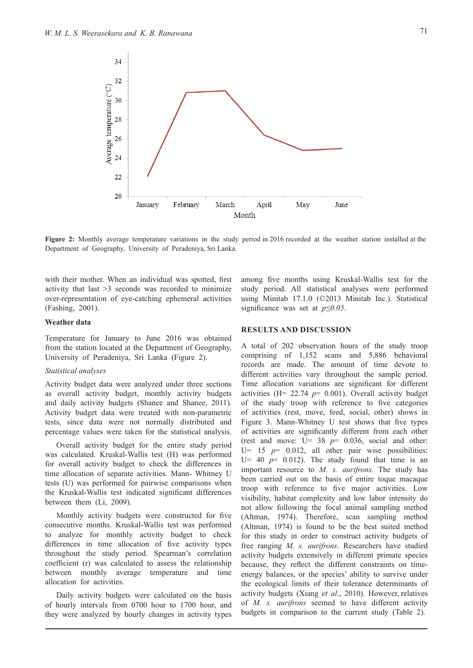

**Figure 2:** Monthly average temperature variations in the study period in 2016 recorded at the weather station installed at the Department of Geography, University of Peradeniya, Sri Lanka.

with their mother. When an individual was spotted, first activity that last >3 seconds was recorded to minimize over-representation of eye-catching ephemeral activities (Fashing, 2001).

#### **Weather data**

Temperature for January to June 2016 was obtained from the station located at the Department of Geography, University of Peradeniya, Sri Lanka (Figure 2).

### *Statistical analyses*

Activity budget data were analyzed under three sections as overall activity budget, monthly activity budgets and daily activity budgets (Shanee and Shanee, 2011). Activity budget data were treated with non-parametric tests, since data were not normally distributed and percentage values were taken for the statistical analysis.

Overall activity budget for the entire study period was calculated. Kruskal-Wallis test (H) was performed for overall activity budget to check the differences in time allocation of separate activities. Mann- Whitney U tests (U) was performed for pairwise comparisons when the Kruskal-Wallis test indicated significant differences between them (Li, 2009).

Monthly activity budgets were constructed for five consecutive months. Kruskal-Wallis test was performed to analyze for monthly activity budget to check differences in time allocation of five activity types throughout the study period. Spearman's correlation coefficient (r) was calculated to assess the relationship between monthly average temperature and time allocation for activities.

Daily activity budgets were calculated on the basis of hourly intervals from 0700 hour to 1700 hour, and they were analyzed by hourly changes in activity types

among five months using Kruskal-Wallis test for the study period. All statistical analyses were performed using Minitab 17.1.0 (©2013 Minitab Inc.). Statistical significance was set at *p≤0.05*.

### **RESULTS AND DISCUSSION**

A total of 202 observation hours of the study troop comprising of 1,152 scans and 5,886 behavioral records are made. The amount of time devote to different activities vary throughout the sample period. Time allocation variations are significant for different activities (H=  $22.74$   $p=$  0.001). Overall activity budget of the study troop with reference to five categories of activities (rest, move, feed, social, other) shows in Figure 3. Mann-Whitney U test shows that five types of activities are significantly different from each other (rest and move:  $U= 38$   $p= 0.036$ , social and other: U= 15 *p*= 0.012, all other pair wise possibilities: U= 40  $p$ = 0.012). The study found that time is an important resource to *M. s. aurifrons*. The study has been carried out on the basis of entire toque macaque troop with reference to five major activities. Low visibility, habitat complexity and low labor intensity do not allow following the focal animal sampling method (Altman, 1974). Therefore, scan sampling method (Altman, 1974) is found to be the best suited method for this study in order to construct activity budgets of free ranging *M. s. aurifrons*. Researchers have studied activity budgets extensively in different primate species because, they reflect the different constraints on timeenergy balances, or the species' ability to survive under the ecological limits of their tolerance determinants of activity budgets (Xiang *et al*., 2010). However, relatives of *M. s. aurifrons* seemed to have different activity budgets in comparison to the current study (Table 2).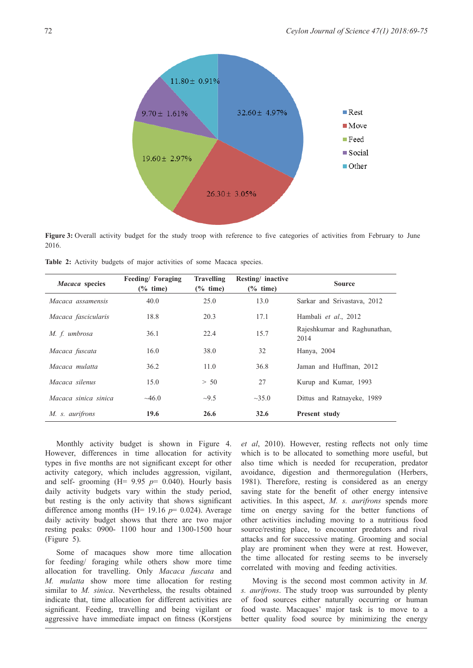

**Figure 3:** Overall activity budget for the study troop with reference to five categories of activities from February to June 2016.

| Macaca species       | Feeding/Foraging<br>$(\%$ time) | <b>Travelling</b><br>$(\%$ time) | Resting/ inactive<br>$(\%$ time) | <b>Source</b>                        |  |  |  |  |
|----------------------|---------------------------------|----------------------------------|----------------------------------|--------------------------------------|--|--|--|--|
| Macaca assamensis    | 40.0                            | 25.0                             | 13.0                             | Sarkar and Srivastava, 2012          |  |  |  |  |
| Macaca fascicularis  | 18.8                            | 20.3                             | 17.1                             | Hambali et al., 2012                 |  |  |  |  |
| M. f. umbrosa        | 36.1                            | 22.4                             | 15.7                             | Rajeshkumar and Raghunathan,<br>2014 |  |  |  |  |
| Macaca fuscata       | 16.0                            | 38.0                             | 32                               | Hanya, 2004                          |  |  |  |  |
| Macaca mulatta       | 36.2                            | 11.0                             | 36.8                             | Jaman and Huffman, 2012              |  |  |  |  |
| Macaca silenus       | 15.0                            | > 50                             | 27                               | Kurup and Kumar, 1993                |  |  |  |  |
| Macaca sinica sinica | $\sim 46.0$                     | $\sim 9.5$                       | $\sim 35.0$                      | Dittus and Ratnayeke, 1989           |  |  |  |  |
| M. s. aurifrons      | 19.6                            | 26.6                             | 32.6                             | Present study                        |  |  |  |  |

**Table 2:** Activity budgets of major activities of some Macaca species.

Monthly activity budget is shown in Figure 4. However, differences in time allocation for activity types in five months are not significant except for other activity category, which includes aggression, vigilant, and self- grooming  $(H= 9.95 \text{ p} = 0.040)$ . Hourly basis daily activity budgets vary within the study period, but resting is the only activity that shows significant difference among months  $(H= 19.16 \text{ p} = 0.024)$ . Average daily activity budget shows that there are two major resting peaks: 0900- 1100 hour and 1300-1500 hour (Figure 5).

Some of macaques show more time allocation for feeding/ foraging while others show more time allocation for travelling. Only *Macaca fuscata* and *M. mulatta* show more time allocation for resting similar to *M. sinica*. Nevertheless, the results obtained indicate that, time allocation for different activities are significant. Feeding, travelling and being vigilant or aggressive have immediate impact on fitness (Korstjens

*et al*, 2010). However, resting reflects not only time which is to be allocated to something more useful, but also time which is needed for recuperation, predator avoidance, digestion and thermoregulation (Herbers, 1981). Therefore, resting is considered as an energy saving state for the benefit of other energy intensive activities. In this aspect, *M. s. aurifrons* spends more time on energy saving for the better functions of other activities including moving to a nutritious food source/resting place, to encounter predators and rival attacks and for successive mating. Grooming and social play are prominent when they were at rest. However, the time allocated for resting seems to be inversely correlated with moving and feeding activities.

Moving is the second most common activity in *M. s. aurifrons*. The study troop was surrounded by plenty of food sources either naturally occurring or human food waste. Macaques' major task is to move to a better quality food source by minimizing the energy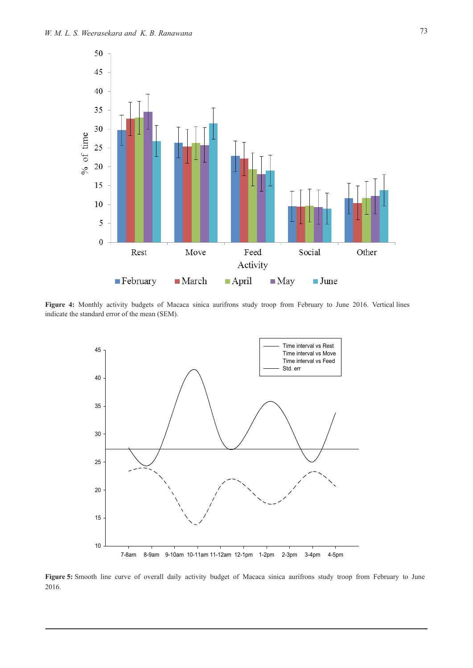

Figure 4: Monthly activity budgets of Macaca sinica aurifrons study troop from February to June 2016. Vertical lines indicate the standard error of the mean (SEM).



Figure 5: Smooth line curve of overall daily activity budget of Macaca sinica aurifrons study troop from February to June 2016.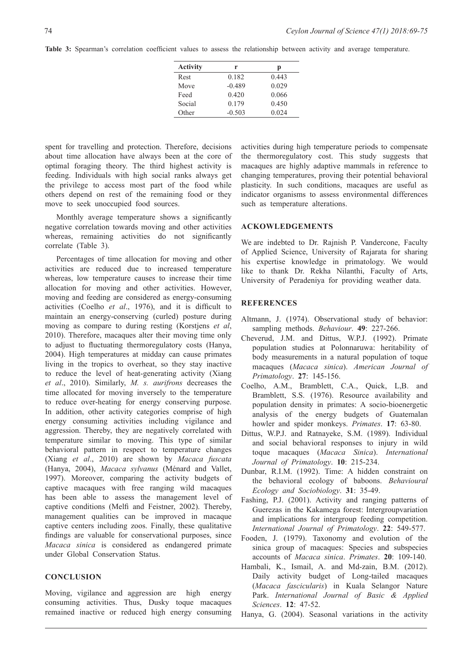| <b>Activity</b> | r        | p     |  |  |  |
|-----------------|----------|-------|--|--|--|
| Rest            | 0.182    | 0.443 |  |  |  |
| Move            | $-0.489$ | 0.029 |  |  |  |
| Feed            | 0.420    | 0.066 |  |  |  |
| Social          | 0.179    | 0.450 |  |  |  |
| Other           | $-0.503$ | 0.024 |  |  |  |

spent for travelling and protection. Therefore, decisions about time allocation have always been at the core of optimal foraging theory. The third highest activity is feeding. Individuals with high social ranks always get the privilege to access most part of the food while others depend on rest of the remaining food or they move to seek unoccupied food sources.

Monthly average temperature shows a significantly negative correlation towards moving and other activities whereas, remaining activities do not significantly correlate (Table 3).

Percentages of time allocation for moving and other activities are reduced due to increased temperature whereas, low temperature causes to increase their time allocation for moving and other activities. However, moving and feeding are considered as energy-consuming activities (Coelho *et al*., 1976), and it is difficult to maintain an energy-conserving (curled) posture during moving as compare to during resting (Korstjens *et al*, 2010). Therefore, macaques alter their moving time only to adjust to fluctuating thermoregulatory costs (Hanya, 2004). High temperatures at midday can cause primates living in the tropics to overheat, so they stay inactive to reduce the level of heat-generating activity (Xiang *et al*., 2010). Similarly, *M. s. aurifrons* decreases the time allocated for moving inversely to the temperature to reduce over-heating for energy conserving purpose. In addition, other activity categories comprise of high energy consuming activities including vigilance and aggression. Thereby, they are negatively correlated with temperature similar to moving. This type of similar behavioral pattern in respect to temperature changes (Xiang *et al*., 2010) are shown by *Macaca fuscata* (Hanya, 2004), *Macaca sylvanus* (Ménard and Vallet, 1997). Moreover, comparing the activity budgets of captive macaques with free ranging wild macaques has been able to assess the management level of captive conditions (Melfi and Feistner, 2002). Thereby, management qualities can be improved in macaque captive centers including zoos. Finally, these qualitative findings are valuable for conservational purposes, since *Macaca sinica* is considered as endangered primate under Global Conservation Status.

## **CONCLUSION**

Moving, vigilance and aggression are high energy consuming activities. Thus, Dusky toque macaques remained inactive or reduced high energy consuming activities during high temperature periods to compensate the thermoregulatory cost. This study suggests that macaques are highly adaptive mammals in reference to changing temperatures, proving their potential behavioral plasticity. In such conditions, macaques are useful as indicator organisms to assess environmental differences such as temperature alterations.

### **ACKOWLEDGEMENTS**

We are indebted to Dr. Rajnish P. Vandercone, Faculty of Applied Science, University of Rajarata for sharing his expertise knowledge in primatology. We would like to thank Dr. Rekha Nilanthi, Faculty of Arts, University of Peradeniya for providing weather data.

# **REFERENCES**

- Altmann, J. (1974). Observational study of behavior: sampling methods. *Behaviour*. **49**: 227-266.
- Cheverud, J.M. and Dittus, W.P.J. (1992). Primate population studies at Polonnaruwa: heritability of body measurements in a natural population of toque macaques (*Macaca sinica*). *American Journal of Primatology*. **27**: 145-156.
- Coelho, A.M., Bramblett, C.A., Quick, L,B. and Bramblett, S.S. (1976). Resource availability and population density in primates: A socio-bioenergetic analysis of the energy budgets of Guatemalan howler and spider monkeys. *Primates*. **17**: 63-80.
- Dittus, W.P.J. and Ratnayeke, S.M. (1989). Individual and social behavioral responses to injury in wild toque macaques (*Macaca Sinica*). *International Journal of Primatology*. **10**: 215-234.
- Dunbar, R.I.M. (1992). Time: A hidden constraint on the behavioral ecology of baboons. *Behavioural Ecology and Sociobiology*. **31**: 35-49.
- Fashing, P.J. (2001). Activity and ranging patterns of Guerezas in the Kakamega forest: Intergroupvariation and implications for intergroup feeding competition. *International Journal of Primatology*. **22**: 549-577.
- Fooden, J. (1979). Taxonomy and evolution of the sinica group of macaques: Species and subspecies accounts of *Macaca sinica*. *Primates*. **20**: 109-140.
- Hambali, K., Ismail, A. and Md-zain, B.M. (2012). Daily activity budget of Long-tailed macaques (*Macaca fascicularis*) in Kuala Selangor Nature Park. *International Journal of Basic & Applied Sciences*. **12**: 47-52.
- Hanya, G. (2004). Seasonal variations in the activity